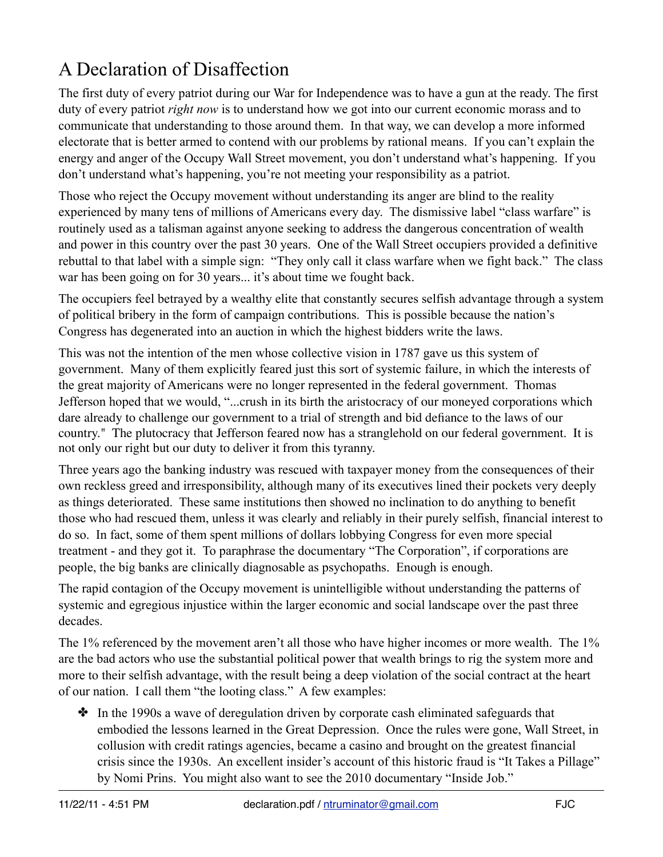## A Declaration of Disaffection

The first duty of every patriot during our War for Independence was to have a gun at the ready. The first duty of every patriot *right now* is to understand how we got into our current economic morass and to communicate that understanding to those around them. In that way, we can develop a more informed electorate that is better armed to contend with our problems by rational means. If you can't explain the energy and anger of the Occupy Wall Street movement, you don't understand what's happening. If you don't understand what's happening, you're not meeting your responsibility as a patriot.

Those who reject the Occupy movement without understanding its anger are blind to the reality experienced by many tens of millions of Americans every day. The dismissive label "class warfare" is routinely used as a talisman against anyone seeking to address the dangerous concentration of wealth and power in this country over the past 30 years. One of the Wall Street occupiers provided a definitive rebuttal to that label with a simple sign: "They only call it class warfare when we fight back." The class war has been going on for 30 years... it's about time we fought back.

The occupiers feel betrayed by a wealthy elite that constantly secures selfish advantage through a system of political bribery in the form of campaign contributions. This is possible because the nation's Congress has degenerated into an auction in which the highest bidders write the laws.

This was not the intention of the men whose collective vision in 1787 gave us this system of government. Many of them explicitly feared just this sort of systemic failure, in which the interests of the great majority of Americans were no longer represented in the federal government. Thomas Jefferson hoped that we would, "...crush in its birth the aristocracy of our moneyed corporations which dare already to challenge our government to a trial of strength and bid defiance to the laws of our country." The plutocracy that Jefferson feared now has a stranglehold on our federal government. It is not only our right but our duty to deliver it from this tyranny.

Three years ago the banking industry was rescued with taxpayer money from the consequences of their own reckless greed and irresponsibility, although many of its executives lined their pockets very deeply as things deteriorated. These same institutions then showed no inclination to do anything to benefit those who had rescued them, unless it was clearly and reliably in their purely selfish, financial interest to do so. In fact, some of them spent millions of dollars lobbying Congress for even more special treatment - and they got it. To paraphrase the documentary "The Corporation", if corporations are people, the big banks are clinically diagnosable as psychopaths. Enough is enough.

The rapid contagion of the Occupy movement is unintelligible without understanding the patterns of systemic and egregious injustice within the larger economic and social landscape over the past three decades.

The 1% referenced by the movement aren't all those who have higher incomes or more wealth. The 1% are the bad actors who use the substantial political power that wealth brings to rig the system more and more to their selfish advantage, with the result being a deep violation of the social contract at the heart of our nation. I call them "the looting class." A few examples:

✤ In the 1990s a wave of deregulation driven by corporate cash eliminated safeguards that embodied the lessons learned in the Great Depression. Once the rules were gone, Wall Street, in collusion with credit ratings agencies, became a casino and brought on the greatest financial crisis since the 1930s. An excellent insider's account of this historic fraud is "It Takes a Pillage" by Nomi Prins. You might also want to see the 2010 documentary "Inside Job."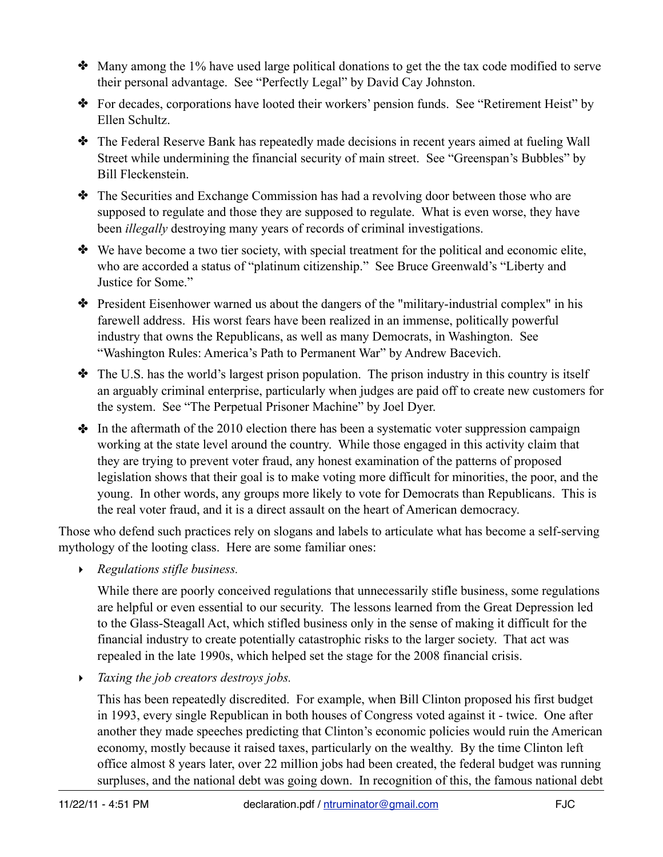- ✤ Many among the 1% have used large political donations to get the the tax code modified to serve their personal advantage. See "Perfectly Legal" by David Cay Johnston.
- ✤ For decades, corporations have looted their workers' pension funds. See "Retirement Heist" by Ellen Schultz.
- ✤ The Federal Reserve Bank has repeatedly made decisions in recent years aimed at fueling Wall Street while undermining the financial security of main street. See "Greenspan's Bubbles" by Bill Fleckenstein.
- ✤ The Securities and Exchange Commission has had a revolving door between those who are supposed to regulate and those they are supposed to regulate. What is even worse, they have been *illegally* destroying many years of records of criminal investigations.
- ✤ We have become a two tier society, with special treatment for the political and economic elite, who are accorded a status of "platinum citizenship." See Bruce Greenwald's "Liberty and Justice for Some."
- ✤ President Eisenhower warned us about the dangers of the "military-industrial complex" in his farewell address. His worst fears have been realized in an immense, politically powerful industry that owns the Republicans, as well as many Democrats, in Washington. See "Washington Rules: America's Path to Permanent War" by Andrew Bacevich.
- ✤ The U.S. has the world's largest prison population. The prison industry in this country is itself an arguably criminal enterprise, particularly when judges are paid off to create new customers for the system. See "The Perpetual Prisoner Machine" by Joel Dyer.
- In the aftermath of the 2010 election there has been a systematic voter suppression campaign working at the state level around the country. While those engaged in this activity claim that they are trying to prevent voter fraud, any honest examination of the patterns of proposed legislation shows that their goal is to make voting more difficult for minorities, the poor, and the young. In other words, any groups more likely to vote for Democrats than Republicans. This is the real voter fraud, and it is a direct assault on the heart of American democracy.

Those who defend such practices rely on slogans and labels to articulate what has become a self-serving mythology of the looting class. Here are some familiar ones:

‣ *Regulations stifle business.*

While there are poorly conceived regulations that unnecessarily stifle business, some regulations are helpful or even essential to our security. The lessons learned from the Great Depression led to the Glass-Steagall Act, which stifled business only in the sense of making it difficult for the financial industry to create potentially catastrophic risks to the larger society. That act was repealed in the late 1990s, which helped set the stage for the 2008 financial crisis.

‣ *Taxing the job creators destroys jobs.*

This has been repeatedly discredited. For example, when Bill Clinton proposed his first budget in 1993, every single Republican in both houses of Congress voted against it - twice. One after another they made speeches predicting that Clinton's economic policies would ruin the American economy, mostly because it raised taxes, particularly on the wealthy. By the time Clinton left office almost 8 years later, over 22 million jobs had been created, the federal budget was running surpluses, and the national debt was going down. In recognition of this, the famous national debt